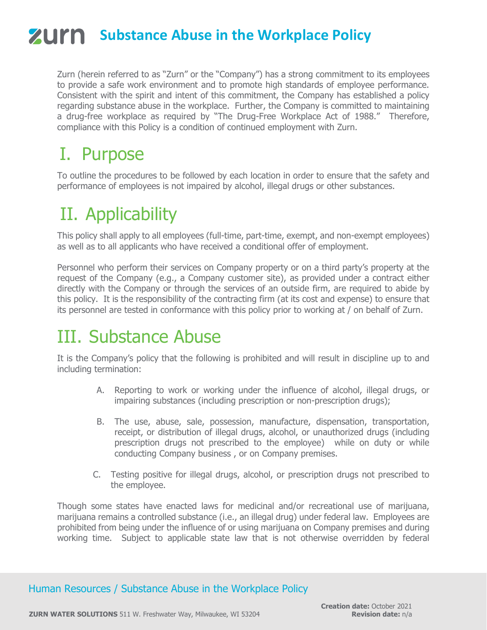# **ZUIM** Substance Abuse in the Workplace Policy

Zurn (herein referred to as "Zurn" or the "Company") has a strong commitment to its employees to provide a safe work environment and to promote high standards of employee performance. Consistent with the spirit and intent of this commitment, the Company has established a policy regarding substance abuse in the workplace. Further, the Company is committed to maintaining a drug-free workplace as required by "The Drug-Free Workplace Act of 1988." Therefore, compliance with this Policy is a condition of continued employment with Zurn.

## I. Purpose

To outline the procedures to be followed by each location in order to ensure that the safety and performance of employees is not impaired by alcohol, illegal drugs or other substances.

# II. Applicability

This policy shall apply to all employees (full-time, part-time, exempt, and non-exempt employees) as well as to all applicants who have received a conditional offer of employment.

Personnel who perform their services on Company property or on a third party's property at the request of the Company (e.g., a Company customer site), as provided under a contract either directly with the Company or through the services of an outside firm, are required to abide by this policy. It is the responsibility of the contracting firm (at its cost and expense) to ensure that its personnel are tested in conformance with this policy prior to working at / on behalf of Zurn.

## III. Substance Abuse

It is the Company's policy that the following is prohibited and will result in discipline up to and including termination:

- A. Reporting to work or working under the influence of alcohol, illegal drugs, or impairing substances (including prescription or non-prescription drugs);
- B. The use, abuse, sale, possession, manufacture, dispensation, transportation, receipt, or distribution of illegal drugs, alcohol, or unauthorized drugs (including prescription drugs not prescribed to the employee) while on duty or while conducting Company business , or on Company premises.
- C. Testing positive for illegal drugs, alcohol, or prescription drugs not prescribed to the employee.

Though some states have enacted laws for medicinal and/or recreational use of marijuana, marijuana remains a controlled substance (i.e., an illegal drug) under federal law. Employees are prohibited from being under the influence of or using marijuana on Company premises and during working time. Subject to applicable state law that is not otherwise overridden by federal

Human Resources / Substance Abuse in the Workplace Policy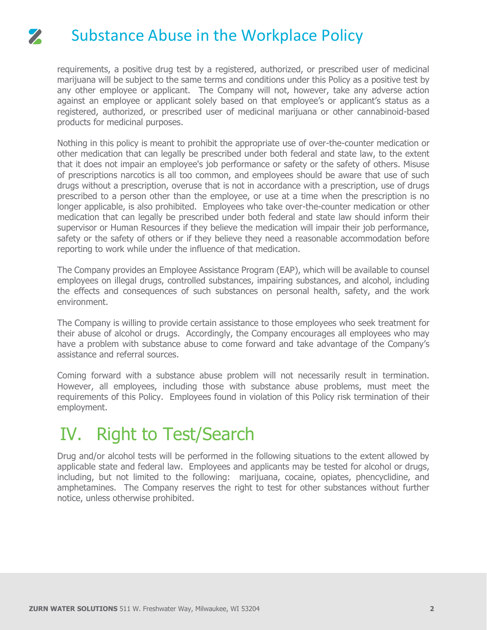## Substance Abuse in the Workplace Policy

 $\mathbf{z}$ 

requirements, a positive drug test by a registered, authorized, or prescribed user of medicinal marijuana will be subject to the same terms and conditions under this Policy as a positive test by any other employee or applicant. The Company will not, however, take any adverse action against an employee or applicant solely based on that employee's or applicant's status as a registered, authorized, or prescribed user of medicinal marijuana or other cannabinoid-based products for medicinal purposes.

Nothing in this policy is meant to prohibit the appropriate use of over-the-counter medication or other medication that can legally be prescribed under both federal and state law, to the extent that it does not impair an employee's job performance or safety or the safety of others. Misuse of prescriptions narcotics is all too common, and employees should be aware that use of such drugs without a prescription, overuse that is not in accordance with a prescription, use of drugs prescribed to a person other than the employee, or use at a time when the prescription is no longer applicable, is also prohibited. Employees who take over-the-counter medication or other medication that can legally be prescribed under both federal and state law should inform their supervisor or Human Resources if they believe the medication will impair their job performance, safety or the safety of others or if they believe they need a reasonable accommodation before reporting to work while under the influence of that medication.

The Company provides an Employee Assistance Program (EAP), which will be available to counsel employees on illegal drugs, controlled substances, impairing substances, and alcohol, including the effects and consequences of such substances on personal health, safety, and the work environment.

The Company is willing to provide certain assistance to those employees who seek treatment for their abuse of alcohol or drugs. Accordingly, the Company encourages all employees who may have a problem with substance abuse to come forward and take advantage of the Company's assistance and referral sources.

Coming forward with a substance abuse problem will not necessarily result in termination. However, all employees, including those with substance abuse problems, must meet the requirements of this Policy. Employees found in violation of this Policy risk termination of their employment.

## IV. Right to Test/Search

Drug and/or alcohol tests will be performed in the following situations to the extent allowed by applicable state and federal law. Employees and applicants may be tested for alcohol or drugs, including, but not limited to the following: marijuana, cocaine, opiates, phencyclidine, and amphetamines. The Company reserves the right to test for other substances without further notice, unless otherwise prohibited.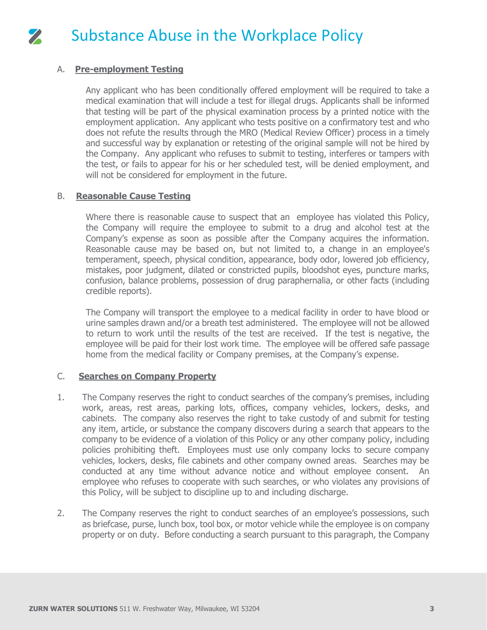

### A. **Pre-employment Testing**

Any applicant who has been conditionally offered employment will be required to take a medical examination that will include a test for illegal drugs. Applicants shall be informed that testing will be part of the physical examination process by a printed notice with the employment application. Any applicant who tests positive on a confirmatory test and who does not refute the results through the MRO (Medical Review Officer) process in a timely and successful way by explanation or retesting of the original sample will not be hired by the Company. Any applicant who refuses to submit to testing, interferes or tampers with the test, or fails to appear for his or her scheduled test, will be denied employment, and will not be considered for employment in the future.

### B. **Reasonable Cause Testing**

Where there is reasonable cause to suspect that an employee has violated this Policy, the Company will require the employee to submit to a drug and alcohol test at the Company's expense as soon as possible after the Company acquires the information. Reasonable cause may be based on, but not limited to, a change in an employee's temperament, speech, physical condition, appearance, body odor, lowered job efficiency, mistakes, poor judgment, dilated or constricted pupils, bloodshot eyes, puncture marks, confusion, balance problems, possession of drug paraphernalia, or other facts (including credible reports).

The Company will transport the employee to a medical facility in order to have blood or urine samples drawn and/or a breath test administered. The employee will not be allowed to return to work until the results of the test are received. If the test is negative, the employee will be paid for their lost work time. The employee will be offered safe passage home from the medical facility or Company premises, at the Company's expense.

### C. **Searches on Company Property**

- 1. The Company reserves the right to conduct searches of the company's premises, including work, areas, rest areas, parking lots, offices, company vehicles, lockers, desks, and cabinets. The company also reserves the right to take custody of and submit for testing any item, article, or substance the company discovers during a search that appears to the company to be evidence of a violation of this Policy or any other company policy, including policies prohibiting theft. Employees must use only company locks to secure company vehicles, lockers, desks, file cabinets and other company owned areas. Searches may be conducted at any time without advance notice and without employee consent. An employee who refuses to cooperate with such searches, or who violates any provisions of this Policy, will be subject to discipline up to and including discharge.
- 2. The Company reserves the right to conduct searches of an employee's possessions, such as briefcase, purse, lunch box, tool box, or motor vehicle while the employee is on company property or on duty. Before conducting a search pursuant to this paragraph, the Company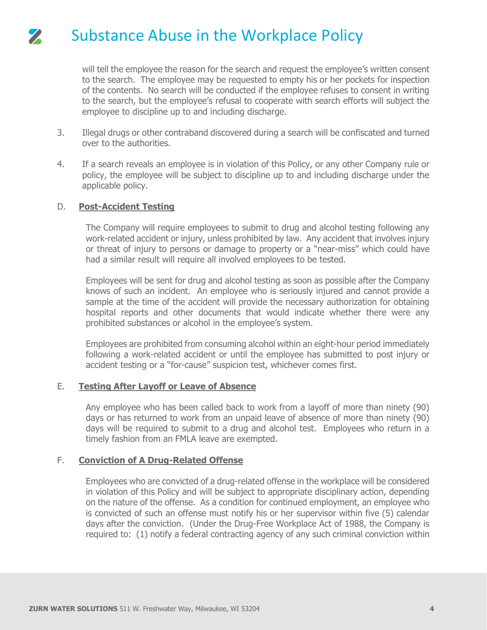will tell the employee the reason for the search and request the employee's written consent to the search. The employee may be requested to empty his or her pockets for inspection of the contents. No search will be conducted if the employee refuses to consent in writing to the search, but the employee's refusal to cooperate with search efforts will subject the employee to discipline up to and including discharge.

- 3. Illegal drugs or other contraband discovered during a search will be confiscated and turned over to the authorities.
- 4. If a search reveals an employee is in violation of this Policy, or any other Company rule or policy, the employee will be subject to discipline up to and including discharge under the applicable policy.

### D. **Post-Accident Testing**

The Company will require employees to submit to drug and alcohol testing following any work-related accident or injury, unless prohibited by law. Any accident that involves injury or threat of injury to persons or damage to property or a "near-miss" which could have had a similar result will require all involved employees to be tested.

Employees will be sent for drug and alcohol testing as soon as possible after the Company knows of such an incident. An employee who is seriously injured and cannot provide a sample at the time of the accident will provide the necessary authorization for obtaining hospital reports and other documents that would indicate whether there were any prohibited substances or alcohol in the employee's system.

Employees are prohibited from consuming alcohol within an eight-hour period immediately following a work-related accident or until the employee has submitted to post injury or accident testing or a "for-cause" suspicion test, whichever comes first.

### E. **Testing After Layoff or Leave of Absence**

Any employee who has been called back to work from a layoff of more than ninety (90) days or has returned to work from an unpaid leave of absence of more than ninety (90) days will be required to submit to a drug and alcohol test. Employees who return in a timely fashion from an FMLA leave are exempted.

### F. **Conviction of A Drug-Related Offense**

Employees who are convicted of a drug-related offense in the workplace will be considered in violation of this Policy and will be subject to appropriate disciplinary action, depending on the nature of the offense. As a condition for continued employment, an employee who is convicted of such an offense must notify his or her supervisor within five (5) calendar days after the conviction. (Under the Drug-Free Workplace Act of 1988, the Company is required to: (1) notify a federal contracting agency of any such criminal conviction within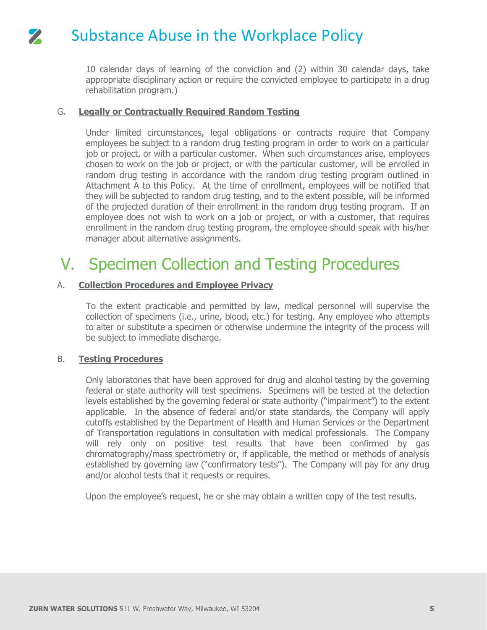10 calendar days of learning of the conviction and (2) within 30 calendar days, take appropriate disciplinary action or require the convicted employee to participate in a drug rehabilitation program.)

### G. **Legally or Contractually Required Random Testing**

Under limited circumstances, legal obligations or contracts require that Company employees be subject to a random drug testing program in order to work on a particular job or project, or with a particular customer. When such circumstances arise, employees chosen to work on the job or project, or with the particular customer, will be enrolled in random drug testing in accordance with the random drug testing program outlined in Attachment A to this Policy. At the time of enrollment, employees will be notified that they will be subjected to random drug testing, and to the extent possible, will be informed of the projected duration of their enrollment in the random drug testing program. If an employee does not wish to work on a job or project, or with a customer, that requires enrollment in the random drug testing program, the employee should speak with his/her manager about alternative assignments.

## V. Specimen Collection and Testing Procedures

### A. **Collection Procedures and Employee Privacy**

To the extent practicable and permitted by law, medical personnel will supervise the collection of specimens (i.e., urine, blood, etc.) for testing. Any employee who attempts to alter or substitute a specimen or otherwise undermine the integrity of the process will be subject to immediate discharge.

### B. **Testing Procedures**

Only laboratories that have been approved for drug and alcohol testing by the governing federal or state authority will test specimens. Specimens will be tested at the detection levels established by the governing federal or state authority ("impairment") to the extent applicable. In the absence of federal and/or state standards, the Company will apply cutoffs established by the Department of Health and Human Services or the Department of Transportation regulations in consultation with medical professionals. The Company will rely only on positive test results that have been confirmed by gas chromatography/mass spectrometry or, if applicable, the method or methods of analysis established by governing law ("confirmatory tests"). The Company will pay for any drug and/or alcohol tests that it requests or requires.

Upon the employee's request, he or she may obtain a written copy of the test results.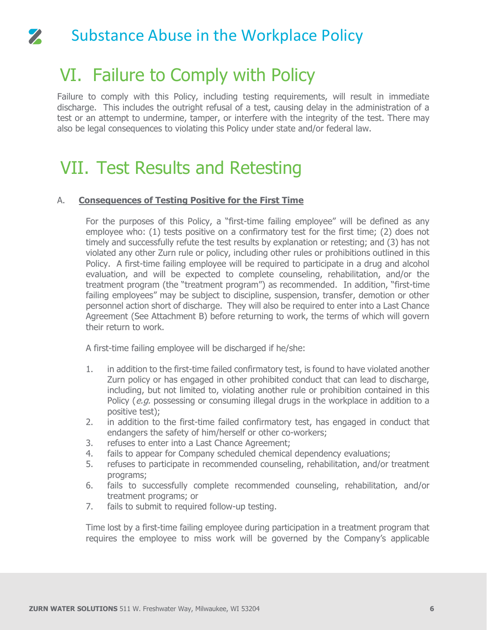## VI. Failure to Comply with Policy

 $\mathbf{z}$ 

Failure to comply with this Policy, including testing requirements, will result in immediate discharge. This includes the outright refusal of a test, causing delay in the administration of a test or an attempt to undermine, tamper, or interfere with the integrity of the test. There may also be legal consequences to violating this Policy under state and/or federal law.

## VII. Test Results and Retesting

### A. **Consequences of Testing Positive for the First Time**

For the purposes of this Policy, a "first-time failing employee" will be defined as any employee who: (1) tests positive on a confirmatory test for the first time; (2) does not timely and successfully refute the test results by explanation or retesting; and (3) has not violated any other Zurn rule or policy, including other rules or prohibitions outlined in this Policy. A first-time failing employee will be required to participate in a drug and alcohol evaluation, and will be expected to complete counseling, rehabilitation, and/or the treatment program (the "treatment program") as recommended. In addition, "first-time failing employees" may be subject to discipline, suspension, transfer, demotion or other personnel action short of discharge. They will also be required to enter into a Last Chance Agreement (See Attachment B) before returning to work, the terms of which will govern their return to work.

A first-time failing employee will be discharged if he/she:

- 1. in addition to the first-time failed confirmatory test, is found to have violated another Zurn policy or has engaged in other prohibited conduct that can lead to discharge, including, but not limited to, violating another rule or prohibition contained in this Policy (e.g. possessing or consuming illegal drugs in the workplace in addition to a positive test);
- 2. in addition to the first-time failed confirmatory test, has engaged in conduct that endangers the safety of him/herself or other co-workers;
- 3. refuses to enter into a Last Chance Agreement;
- 4. fails to appear for Company scheduled chemical dependency evaluations;
- 5. refuses to participate in recommended counseling, rehabilitation, and/or treatment programs;
- 6. fails to successfully complete recommended counseling, rehabilitation, and/or treatment programs; or
- 7. fails to submit to required follow-up testing.

Time lost by a first-time failing employee during participation in a treatment program that requires the employee to miss work will be governed by the Company's applicable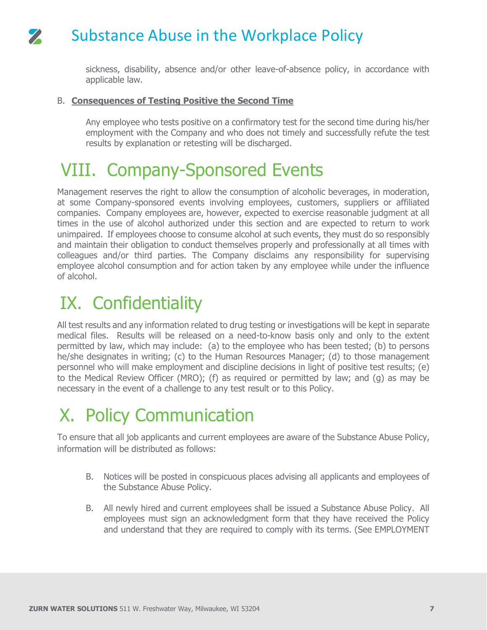sickness, disability, absence and/or other leave-of-absence policy, in accordance with applicable law.

### B. **Consequences of Testing Positive the Second Time**

Any employee who tests positive on a confirmatory test for the second time during his/her employment with the Company and who does not timely and successfully refute the test results by explanation or retesting will be discharged.

## VIII. Company-Sponsored Events

Management reserves the right to allow the consumption of alcoholic beverages, in moderation, at some Company-sponsored events involving employees, customers, suppliers or affiliated companies. Company employees are, however, expected to exercise reasonable judgment at all times in the use of alcohol authorized under this section and are expected to return to work unimpaired. If employees choose to consume alcohol at such events, they must do so responsibly and maintain their obligation to conduct themselves properly and professionally at all times with colleagues and/or third parties. The Company disclaims any responsibility for supervising employee alcohol consumption and for action taken by any employee while under the influence of alcohol.

## IX. Confidentiality

All test results and any information related to drug testing or investigations will be kept in separate medical files. Results will be released on a need-to-know basis only and only to the extent permitted by law, which may include: (a) to the employee who has been tested; (b) to persons he/she designates in writing; (c) to the Human Resources Manager; (d) to those management personnel who will make employment and discipline decisions in light of positive test results; (e) to the Medical Review Officer (MRO); (f) as required or permitted by law; and (g) as may be necessary in the event of a challenge to any test result or to this Policy.

# X. Policy Communication

To ensure that all job applicants and current employees are aware of the Substance Abuse Policy, information will be distributed as follows:

- B. Notices will be posted in conspicuous places advising all applicants and employees of the Substance Abuse Policy.
- B. All newly hired and current employees shall be issued a Substance Abuse Policy. All employees must sign an acknowledgment form that they have received the Policy and understand that they are required to comply with its terms. (See EMPLOYMENT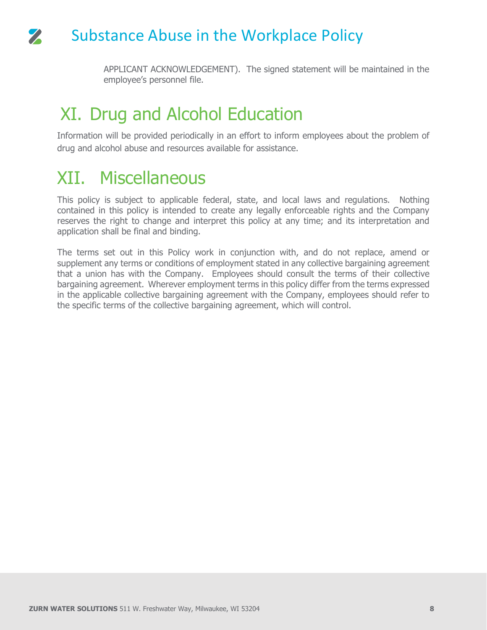APPLICANT ACKNOWLEDGEMENT). The signed statement will be maintained in the employee's personnel file.

## XI. Drug and Alcohol Education

Information will be provided periodically in an effort to inform employees about the problem of drug and alcohol abuse and resources available for assistance.

## XII. Miscellaneous

This policy is subject to applicable federal, state, and local laws and regulations. Nothing contained in this policy is intended to create any legally enforceable rights and the Company reserves the right to change and interpret this policy at any time; and its interpretation and application shall be final and binding.

The terms set out in this Policy work in conjunction with, and do not replace, amend or supplement any terms or conditions of employment stated in any collective bargaining agreement that a union has with the Company. Employees should consult the terms of their collective bargaining agreement. Wherever employment terms in this policy differ from the terms expressed in the applicable collective bargaining agreement with the Company, employees should refer to the specific terms of the collective bargaining agreement, which will control.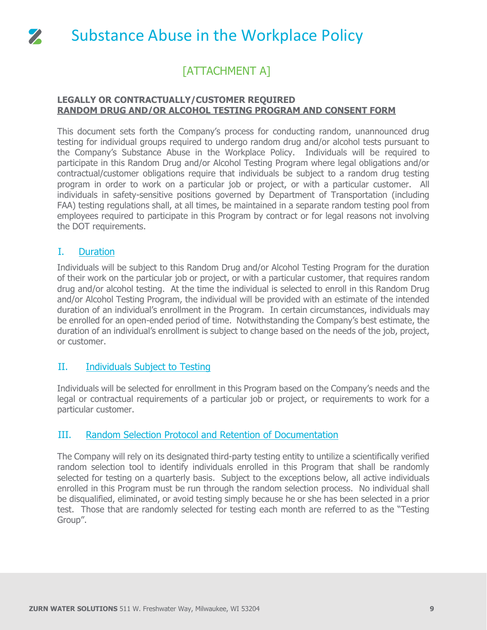

### [ATTACHMENT A]

### **LEGALLY OR CONTRACTUALLY/CUSTOMER REQUIRED RANDOM DRUG AND/OR ALCOHOL TESTING PROGRAM AND CONSENT FORM**

This document sets forth the Company's process for conducting random, unannounced drug testing for individual groups required to undergo random drug and/or alcohol tests pursuant to the Company's Substance Abuse in the Workplace Policy. Individuals will be required to participate in this Random Drug and/or Alcohol Testing Program where legal obligations and/or contractual/customer obligations require that individuals be subject to a random drug testing program in order to work on a particular job or project, or with a particular customer. All individuals in safety-sensitive positions governed by Department of Transportation (including FAA) testing regulations shall, at all times, be maintained in a separate random testing pool from employees required to participate in this Program by contract or for legal reasons not involving the DOT requirements.

### I. Duration

Individuals will be subject to this Random Drug and/or Alcohol Testing Program for the duration of their work on the particular job or project, or with a particular customer, that requires random drug and/or alcohol testing. At the time the individual is selected to enroll in this Random Drug and/or Alcohol Testing Program, the individual will be provided with an estimate of the intended duration of an individual's enrollment in the Program. In certain circumstances, individuals may be enrolled for an open-ended period of time. Notwithstanding the Company's best estimate, the duration of an individual's enrollment is subject to change based on the needs of the job, project, or customer.

### II. Individuals Subject to Testing

Individuals will be selected for enrollment in this Program based on the Company's needs and the legal or contractual requirements of a particular job or project, or requirements to work for a particular customer.

### III. Random Selection Protocol and Retention of Documentation

The Company will rely on its designated third-party testing entity to untilize a scientifically verified random selection tool to identify individuals enrolled in this Program that shall be randomly selected for testing on a quarterly basis. Subject to the exceptions below, all active individuals enrolled in this Program must be run through the random selection process. No individual shall be disqualified, eliminated, or avoid testing simply because he or she has been selected in a prior test. Those that are randomly selected for testing each month are referred to as the "Testing Group".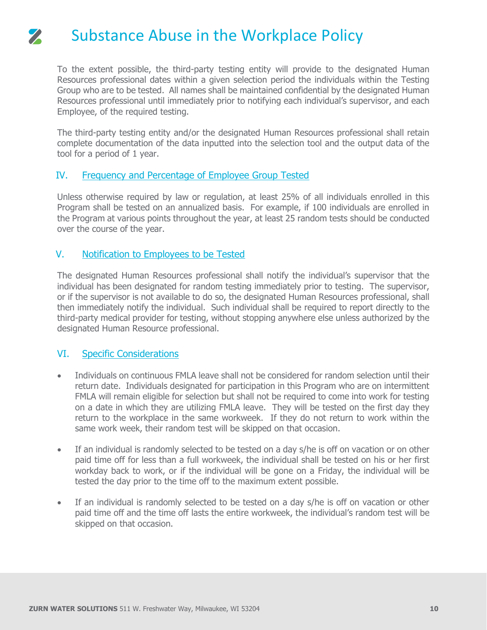To the extent possible, the third-party testing entity will provide to the designated Human Resources professional dates within a given selection period the individuals within the Testing Group who are to be tested. All names shall be maintained confidential by the designated Human Resources professional until immediately prior to notifying each individual's supervisor, and each Employee, of the required testing.

The third-party testing entity and/or the designated Human Resources professional shall retain complete documentation of the data inputted into the selection tool and the output data of the tool for a period of 1 year.

### IV. Frequency and Percentage of Employee Group Tested

Unless otherwise required by law or regulation, at least 25% of all individuals enrolled in this Program shall be tested on an annualized basis. For example, if 100 individuals are enrolled in the Program at various points throughout the year, at least 25 random tests should be conducted over the course of the year.

### V. Notification to Employees to be Tested

The designated Human Resources professional shall notify the individual's supervisor that the individual has been designated for random testing immediately prior to testing. The supervisor, or if the supervisor is not available to do so, the designated Human Resources professional, shall then immediately notify the individual. Such individual shall be required to report directly to the third-party medical provider for testing, without stopping anywhere else unless authorized by the designated Human Resource professional.

### VI. Specific Considerations

- Individuals on continuous FMLA leave shall not be considered for random selection until their return date. Individuals designated for participation in this Program who are on intermittent FMLA will remain eligible for selection but shall not be required to come into work for testing on a date in which they are utilizing FMLA leave. They will be tested on the first day they return to the workplace in the same workweek. If they do not return to work within the same work week, their random test will be skipped on that occasion.
- If an individual is randomly selected to be tested on a day s/he is off on vacation or on other paid time off for less than a full workweek, the individual shall be tested on his or her first workday back to work, or if the individual will be gone on a Friday, the individual will be tested the day prior to the time off to the maximum extent possible.
- If an individual is randomly selected to be tested on a day s/he is off on vacation or other paid time off and the time off lasts the entire workweek, the individual's random test will be skipped on that occasion.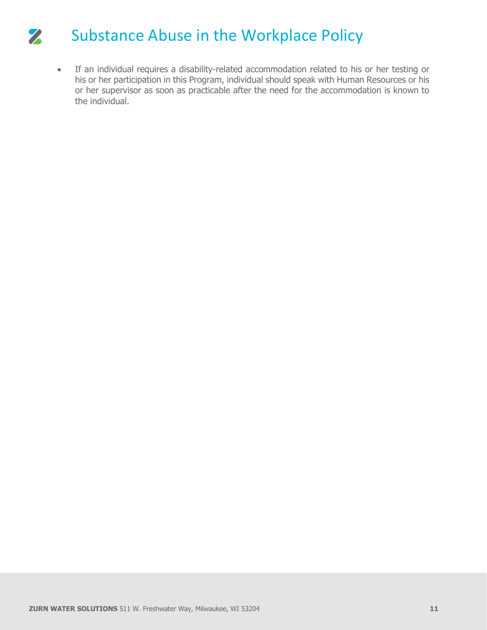• If an individual requires a disability-related accommodation related to his or her testing or his or her participation in this Program, individual should speak with Human Resources or his or her supervisor as soon as practicable after the need for the accommodation is known to the individual.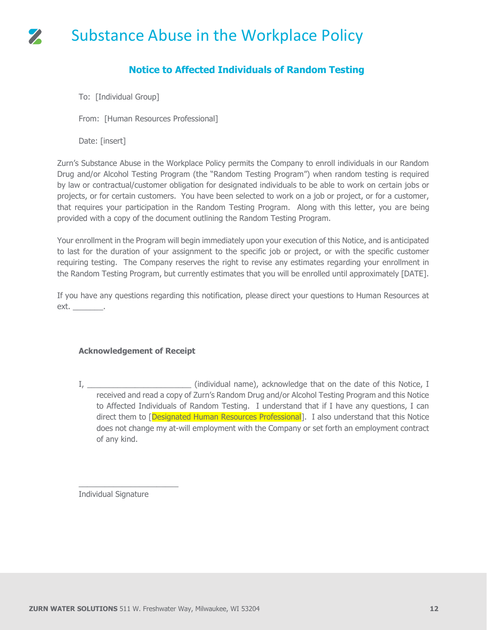### Substance Abuse in the Workplace Policy  $\mathbf{z}$

### **Notice to Affected Individuals of Random Testing**

To: [Individual Group]

From: [Human Resources Professional]

Date: [insert]

Zurn's Substance Abuse in the Workplace Policy permits the Company to enroll individuals in our Random Drug and/or Alcohol Testing Program (the "Random Testing Program") when random testing is required by law or contractual/customer obligation for designated individuals to be able to work on certain jobs or projects, or for certain customers. You have been selected to work on a job or project, or for a customer, that requires your participation in the Random Testing Program. Along with this letter, you are being provided with a copy of the document outlining the Random Testing Program.

Your enrollment in the Program will begin immediately upon your execution of this Notice, and is anticipated to last for the duration of your assignment to the specific job or project, or with the specific customer requiring testing. The Company reserves the right to revise any estimates regarding your enrollment in the Random Testing Program, but currently estimates that you will be enrolled until approximately [DATE].

If you have any questions regarding this notification, please direct your questions to Human Resources at ext. \_\_\_\_\_\_\_\_\_.

### **Acknowledgement of Receipt**

I, The contract that the contract of this Notice, I contract that on the date of this Notice, I received and read a copy of Zurn's Random Drug and/or Alcohol Testing Program and this Notice to Affected Individuals of Random Testing. I understand that if I have any questions, I can direct them to [Designated Human Resources Professional]. I also understand that this Notice does not change my at-will employment with the Company or set forth an employment contract of any kind.

Individual Signature

\_\_\_\_\_\_\_\_\_\_\_\_\_\_\_\_\_\_\_\_\_\_\_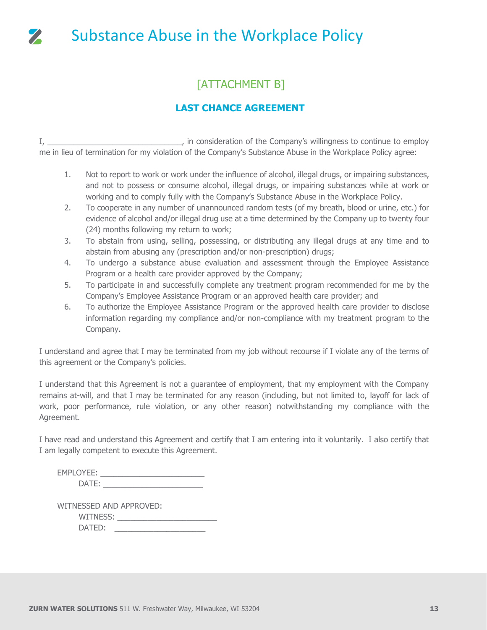

## [ATTACHMENT B]

### **LAST CHANCE AGREEMENT**

I, \_\_\_\_\_\_\_\_\_\_\_\_\_\_\_\_\_\_\_\_\_\_\_\_\_\_\_\_\_\_\_, in consideration of the Company's willingness to continue to employ me in lieu of termination for my violation of the Company's Substance Abuse in the Workplace Policy agree:

- 1. Not to report to work or work under the influence of alcohol, illegal drugs, or impairing substances, and not to possess or consume alcohol, illegal drugs, or impairing substances while at work or working and to comply fully with the Company's Substance Abuse in the Workplace Policy.
- 2. To cooperate in any number of unannounced random tests (of my breath, blood or urine, etc.) for evidence of alcohol and/or illegal drug use at a time determined by the Company up to twenty four (24) months following my return to work;
- 3. To abstain from using, selling, possessing, or distributing any illegal drugs at any time and to abstain from abusing any (prescription and/or non-prescription) drugs;
- 4. To undergo a substance abuse evaluation and assessment through the Employee Assistance Program or a health care provider approved by the Company;
- 5. To participate in and successfully complete any treatment program recommended for me by the Company's Employee Assistance Program or an approved health care provider; and
- 6. To authorize the Employee Assistance Program or the approved health care provider to disclose information regarding my compliance and/or non-compliance with my treatment program to the Company.

I understand and agree that I may be terminated from my job without recourse if I violate any of the terms of this agreement or the Company's policies.

I understand that this Agreement is not a guarantee of employment, that my employment with the Company remains at-will, and that I may be terminated for any reason (including, but not limited to, layoff for lack of work, poor performance, rule violation, or any other reason) notwithstanding my compliance with the Agreement.

I have read and understand this Agreement and certify that I am entering into it voluntarily. I also certify that I am legally competent to execute this Agreement.

| EMPLOYEE:         |  |
|-------------------|--|
| DATF <sup>.</sup> |  |

| WITNESSED AND APPROVED: |  |
|-------------------------|--|
| WITNESS:                |  |
| DATED:                  |  |